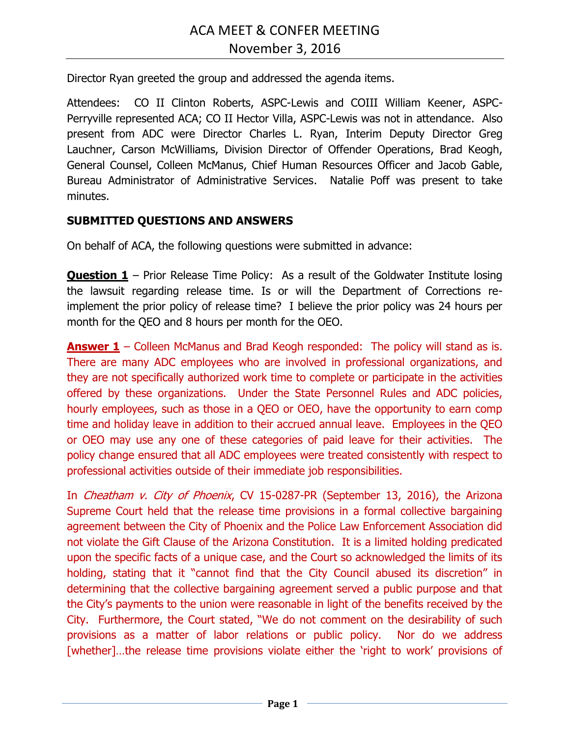Director Ryan greeted the group and addressed the agenda items.

Attendees: CO II Clinton Roberts, ASPC-Lewis and COIII William Keener, ASPC-Perryville represented ACA; CO II Hector Villa, ASPC-Lewis was not in attendance. Also present from ADC were Director Charles L. Ryan, Interim Deputy Director Greg Lauchner, Carson McWilliams, Division Director of Offender Operations, Brad Keogh, General Counsel, Colleen McManus, Chief Human Resources Officer and Jacob Gable, Bureau Administrator of Administrative Services. Natalie Poff was present to take minutes.

## **SUBMITTED QUESTIONS AND ANSWERS**

On behalf of ACA, the following questions were submitted in advance:

**Question 1** – Prior Release Time Policy: As a result of the Goldwater Institute losing the lawsuit regarding release time. Is or will the Department of Corrections reimplement the prior policy of release time? I believe the prior policy was 24 hours per month for the QEO and 8 hours per month for the OEO.

**Answer 1** – Colleen McManus and Brad Keogh responded: The policy will stand as is. There are many ADC employees who are involved in professional organizations, and they are not specifically authorized work time to complete or participate in the activities offered by these organizations. Under the State Personnel Rules and ADC policies, hourly employees, such as those in a QEO or OEO, have the opportunity to earn comp time and holiday leave in addition to their accrued annual leave. Employees in the QEO or OEO may use any one of these categories of paid leave for their activities. The policy change ensured that all ADC employees were treated consistently with respect to professional activities outside of their immediate job responsibilities.

In *Cheatham v. City of Phoenix*, CV 15-0287-PR (September 13, 2016), the Arizona Supreme Court held that the release time provisions in a formal collective bargaining agreement between the City of Phoenix and the Police Law Enforcement Association did not violate the Gift Clause of the Arizona Constitution. It is a limited holding predicated upon the specific facts of a unique case, and the Court so acknowledged the limits of its holding, stating that it "cannot find that the City Council abused its discretion" in determining that the collective bargaining agreement served a public purpose and that the City's payments to the union were reasonable in light of the benefits received by the City. Furthermore, the Court stated, "We do not comment on the desirability of such provisions as a matter of labor relations or public policy. Nor do we address [whether]...the release time provisions violate either the 'right to work' provisions of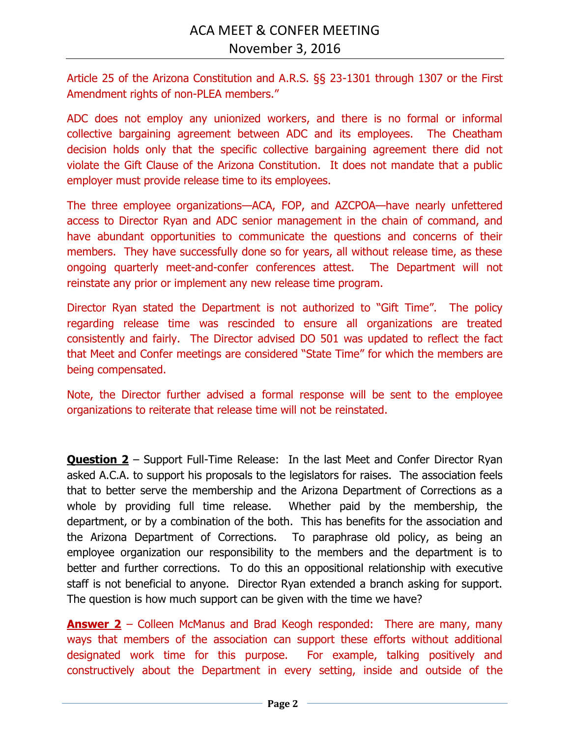Article 25 of the Arizona Constitution and A.R.S. §§ 23-1301 through 1307 or the First Amendment rights of non-PLEA members."

ADC does not employ any unionized workers, and there is no formal or informal collective bargaining agreement between ADC and its employees. The Cheatham decision holds only that the specific collective bargaining agreement there did not violate the Gift Clause of the Arizona Constitution. It does not mandate that a public employer must provide release time to its employees.

The three employee organizations—ACA, FOP, and AZCPOA—have nearly unfettered access to Director Ryan and ADC senior management in the chain of command, and have abundant opportunities to communicate the questions and concerns of their members. They have successfully done so for years, all without release time, as these ongoing quarterly meet-and-confer conferences attest. The Department will not reinstate any prior or implement any new release time program.

Director Ryan stated the Department is not authorized to "Gift Time". The policy regarding release time was rescinded to ensure all organizations are treated consistently and fairly. The Director advised DO 501 was updated to reflect the fact that Meet and Confer meetings are considered "State Time" for which the members are being compensated.

Note, the Director further advised a formal response will be sent to the employee organizations to reiterate that release time will not be reinstated.

**Question 2** – Support Full-Time Release: In the last Meet and Confer Director Ryan asked A.C.A. to support his proposals to the legislators for raises. The association feels that to better serve the membership and the Arizona Department of Corrections as a whole by providing full time release. Whether paid by the membership, the department, or by a combination of the both. This has benefits for the association and the Arizona Department of Corrections. To paraphrase old policy, as being an employee organization our responsibility to the members and the department is to better and further corrections. To do this an oppositional relationship with executive staff is not beneficial to anyone. Director Ryan extended a branch asking for support. The question is how much support can be given with the time we have?

**Answer 2** – Colleen McManus and Brad Keogh responded: There are many, many ways that members of the association can support these efforts without additional designated work time for this purpose. For example, talking positively and constructively about the Department in every setting, inside and outside of the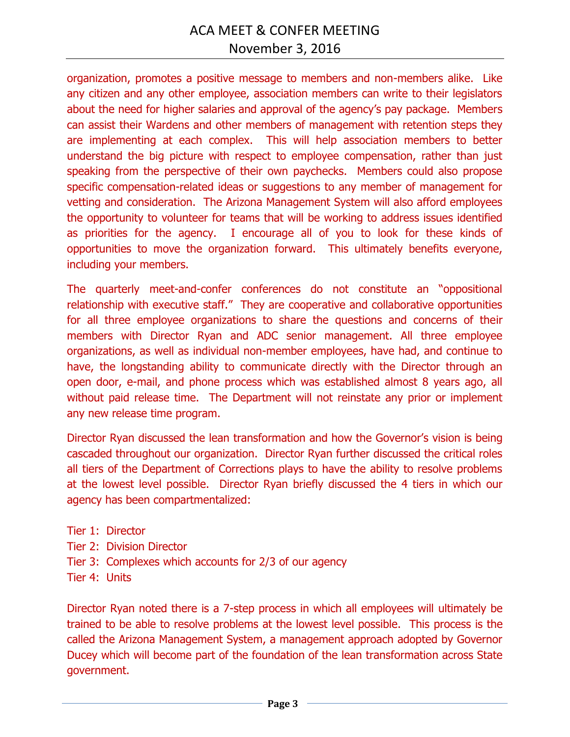organization, promotes a positive message to members and non-members alike. Like any citizen and any other employee, association members can write to their legislators about the need for higher salaries and approval of the agency's pay package. Members can assist their Wardens and other members of management with retention steps they are implementing at each complex. This will help association members to better understand the big picture with respect to employee compensation, rather than just speaking from the perspective of their own paychecks. Members could also propose specific compensation-related ideas or suggestions to any member of management for vetting and consideration. The Arizona Management System will also afford employees the opportunity to volunteer for teams that will be working to address issues identified as priorities for the agency. I encourage all of you to look for these kinds of opportunities to move the organization forward. This ultimately benefits everyone, including your members.

The quarterly meet-and-confer conferences do not constitute an "oppositional relationship with executive staff." They are cooperative and collaborative opportunities for all three employee organizations to share the questions and concerns of their members with Director Ryan and ADC senior management. All three employee organizations, as well as individual non-member employees, have had, and continue to have, the longstanding ability to communicate directly with the Director through an open door, e-mail, and phone process which was established almost 8 years ago, all without paid release time. The Department will not reinstate any prior or implement any new release time program.

Director Ryan discussed the lean transformation and how the Governor's vision is being cascaded throughout our organization. Director Ryan further discussed the critical roles all tiers of the Department of Corrections plays to have the ability to resolve problems at the lowest level possible. Director Ryan briefly discussed the 4 tiers in which our agency has been compartmentalized:

- Tier 1: Director
- Tier 2: Division Director
- Tier 3: Complexes which accounts for 2/3 of our agency
- Tier 4: Units

Director Ryan noted there is a 7-step process in which all employees will ultimately be trained to be able to resolve problems at the lowest level possible. This process is the called the Arizona Management System, a management approach adopted by Governor Ducey which will become part of the foundation of the lean transformation across State government.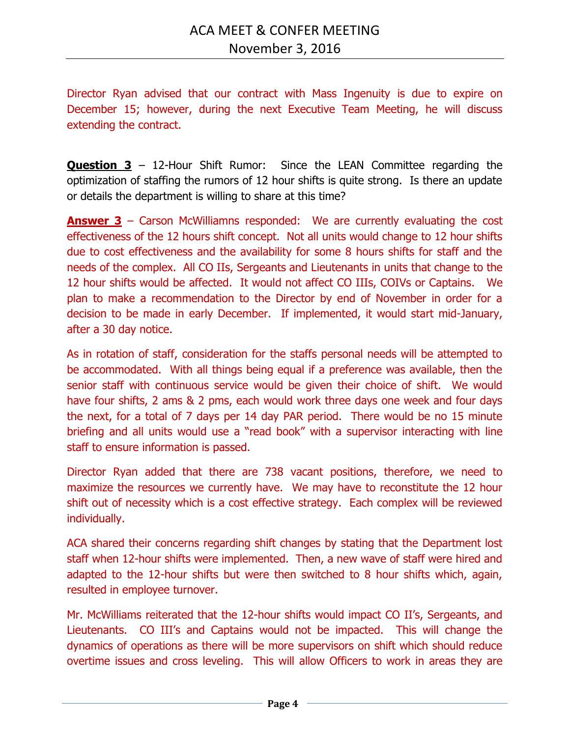Director Ryan advised that our contract with Mass Ingenuity is due to expire on December 15; however, during the next Executive Team Meeting, he will discuss extending the contract.

**Question 3** – 12-Hour Shift Rumor: Since the LEAN Committee regarding the optimization of staffing the rumors of 12 hour shifts is quite strong. Is there an update or details the department is willing to share at this time?

**Answer 3** – Carson McWilliamns responded: We are currently evaluating the cost effectiveness of the 12 hours shift concept. Not all units would change to 12 hour shifts due to cost effectiveness and the availability for some 8 hours shifts for staff and the needs of the complex. All CO IIs, Sergeants and Lieutenants in units that change to the 12 hour shifts would be affected. It would not affect CO IIIs, COIVs or Captains. We plan to make a recommendation to the Director by end of November in order for a decision to be made in early December. If implemented, it would start mid-January, after a 30 day notice.

As in rotation of staff, consideration for the staffs personal needs will be attempted to be accommodated. With all things being equal if a preference was available, then the senior staff with continuous service would be given their choice of shift. We would have four shifts, 2 ams & 2 pms, each would work three days one week and four days the next, for a total of 7 days per 14 day PAR period. There would be no 15 minute briefing and all units would use a "read book" with a supervisor interacting with line staff to ensure information is passed.

Director Ryan added that there are 738 vacant positions, therefore, we need to maximize the resources we currently have. We may have to reconstitute the 12 hour shift out of necessity which is a cost effective strategy. Each complex will be reviewed individually.

ACA shared their concerns regarding shift changes by stating that the Department lost staff when 12-hour shifts were implemented. Then, a new wave of staff were hired and adapted to the 12-hour shifts but were then switched to 8 hour shifts which, again, resulted in employee turnover.

Mr. McWilliams reiterated that the 12-hour shifts would impact CO II's, Sergeants, and Lieutenants. CO III's and Captains would not be impacted. This will change the dynamics of operations as there will be more supervisors on shift which should reduce overtime issues and cross leveling. This will allow Officers to work in areas they are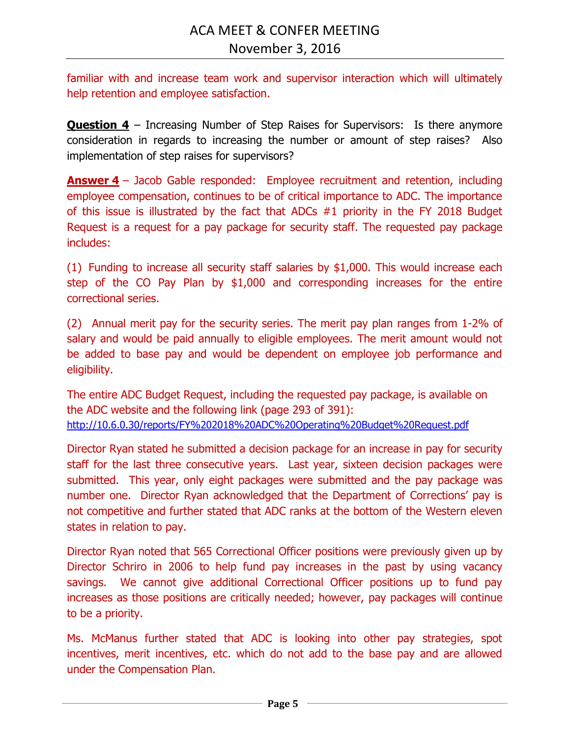familiar with and increase team work and supervisor interaction which will ultimately help retention and employee satisfaction.

**Question 4** – Increasing Number of Step Raises for Supervisors: Is there anymore consideration in regards to increasing the number or amount of step raises? Also implementation of step raises for supervisors?

**Answer 4** – Jacob Gable responded: Employee recruitment and retention, including employee compensation, continues to be of critical importance to ADC. The importance of this issue is illustrated by the fact that ADCs #1 priority in the FY 2018 Budget Request is a request for a pay package for security staff. The requested pay package includes:

(1) Funding to increase all security staff salaries by \$1,000. This would increase each step of the CO Pay Plan by \$1,000 and corresponding increases for the entire correctional series.

(2) Annual merit pay for the security series. The merit pay plan ranges from 1-2% of salary and would be paid annually to eligible employees. The merit amount would not be added to base pay and would be dependent on employee job performance and eligibility.

The entire ADC Budget Request, including the requested pay package, is available on the ADC website and the following link (page 293 of 391): <http://10.6.0.30/reports/FY%202018%20ADC%20Operating%20Budget%20Request.pdf>

Director Ryan stated he submitted a decision package for an increase in pay for security staff for the last three consecutive years. Last year, sixteen decision packages were submitted. This year, only eight packages were submitted and the pay package was number one. Director Ryan acknowledged that the Department of Corrections' pay is not competitive and further stated that ADC ranks at the bottom of the Western eleven states in relation to pay.

Director Ryan noted that 565 Correctional Officer positions were previously given up by Director Schriro in 2006 to help fund pay increases in the past by using vacancy savings. We cannot give additional Correctional Officer positions up to fund pay increases as those positions are critically needed; however, pay packages will continue to be a priority.

Ms. McManus further stated that ADC is looking into other pay strategies, spot incentives, merit incentives, etc. which do not add to the base pay and are allowed under the Compensation Plan.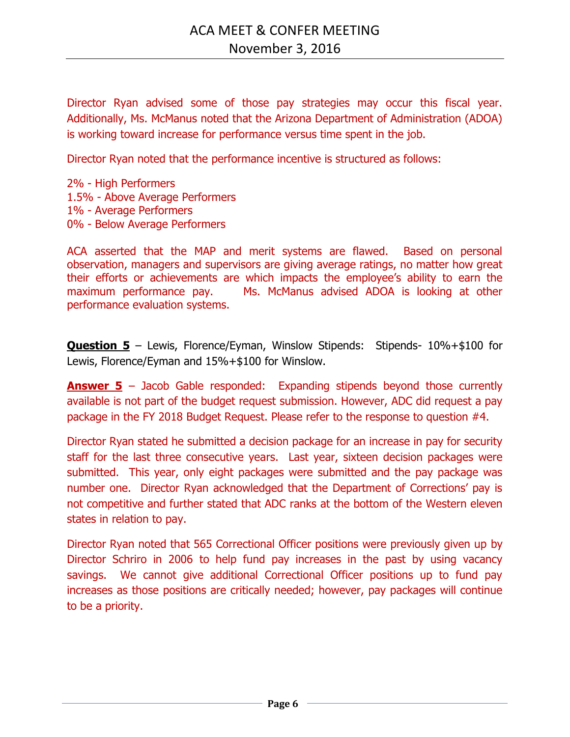Director Ryan advised some of those pay strategies may occur this fiscal year. Additionally, Ms. McManus noted that the Arizona Department of Administration (ADOA) is working toward increase for performance versus time spent in the job.

Director Ryan noted that the performance incentive is structured as follows:

2% - High Performers 1.5% - Above Average Performers 1% - Average Performers 0% - Below Average Performers

ACA asserted that the MAP and merit systems are flawed. Based on personal observation, managers and supervisors are giving average ratings, no matter how great their efforts or achievements are which impacts the employee's ability to earn the maximum performance pay. Ms. McManus advised ADOA is looking at other performance evaluation systems.

**Question 5** – Lewis, Florence/Eyman, Winslow Stipends: Stipends- 10%+\$100 for Lewis, Florence/Eyman and 15%+\$100 for Winslow.

**Answer 5** – Jacob Gable responded: Expanding stipends beyond those currently available is not part of the budget request submission. However, ADC did request a pay package in the FY 2018 Budget Request. Please refer to the response to question #4.

Director Ryan stated he submitted a decision package for an increase in pay for security staff for the last three consecutive years. Last year, sixteen decision packages were submitted. This year, only eight packages were submitted and the pay package was number one. Director Ryan acknowledged that the Department of Corrections' pay is not competitive and further stated that ADC ranks at the bottom of the Western eleven states in relation to pay.

Director Ryan noted that 565 Correctional Officer positions were previously given up by Director Schriro in 2006 to help fund pay increases in the past by using vacancy savings. We cannot give additional Correctional Officer positions up to fund pay increases as those positions are critically needed; however, pay packages will continue to be a priority.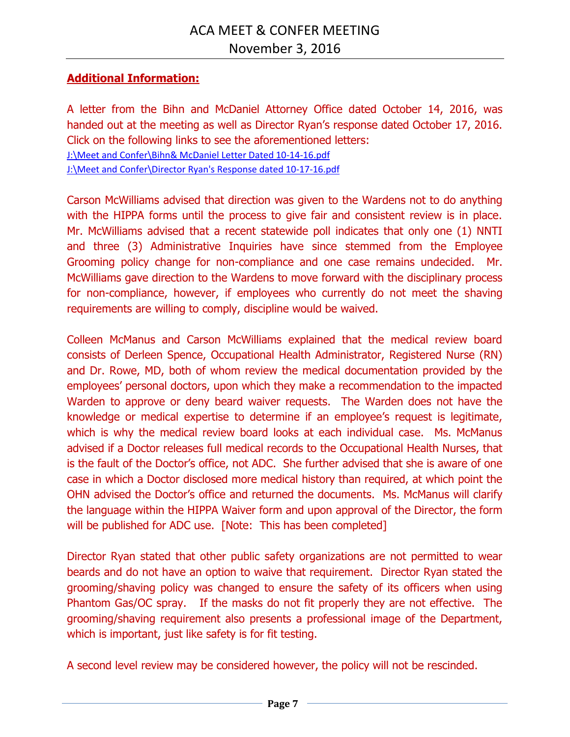## **Additional Information:**

A letter from the Bihn and McDaniel Attorney Office dated October 14, 2016, was handed out at the meeting as well as Director Ryan's response dated October 17, 2016. Click on the following links to see the aforementioned letters: [J:\Meet and Confer\Bihn& McDaniel Letter Dated 10-14-16.pdf](file://///CO-FILE03/SHARED/ADC_INFO/Meet%20and%20Confer/Bihn&%20McDaniel%20Letter%20Dated%2010-14-16.pdf) [J:\Meet and Confer\Director Ryan's Response dated 10-17-16.pdf](file://///CO-FILE03/SHARED/ADC_INFO/Meet%20and%20Confer/Director%20Ryan)

Carson McWilliams advised that direction was given to the Wardens not to do anything with the HIPPA forms until the process to give fair and consistent review is in place. Mr. McWilliams advised that a recent statewide poll indicates that only one (1) NNTI and three (3) Administrative Inquiries have since stemmed from the Employee Grooming policy change for non-compliance and one case remains undecided. Mr. McWilliams gave direction to the Wardens to move forward with the disciplinary process for non-compliance, however, if employees who currently do not meet the shaving requirements are willing to comply, discipline would be waived.

Colleen McManus and Carson McWilliams explained that the medical review board consists of Derleen Spence, Occupational Health Administrator, Registered Nurse (RN) and Dr. Rowe, MD, both of whom review the medical documentation provided by the employees' personal doctors, upon which they make a recommendation to the impacted Warden to approve or deny beard waiver requests. The Warden does not have the knowledge or medical expertise to determine if an employee's request is legitimate, which is why the medical review board looks at each individual case. Ms. McManus advised if a Doctor releases full medical records to the Occupational Health Nurses, that is the fault of the Doctor's office, not ADC. She further advised that she is aware of one case in which a Doctor disclosed more medical history than required, at which point the OHN advised the Doctor's office and returned the documents. Ms. McManus will clarify the language within the HIPPA Waiver form and upon approval of the Director, the form will be published for ADC use. [Note: This has been completed]

Director Ryan stated that other public safety organizations are not permitted to wear beards and do not have an option to waive that requirement. Director Ryan stated the grooming/shaving policy was changed to ensure the safety of its officers when using Phantom Gas/OC spray. If the masks do not fit properly they are not effective. The grooming/shaving requirement also presents a professional image of the Department, which is important, just like safety is for fit testing.

A second level review may be considered however, the policy will not be rescinded.